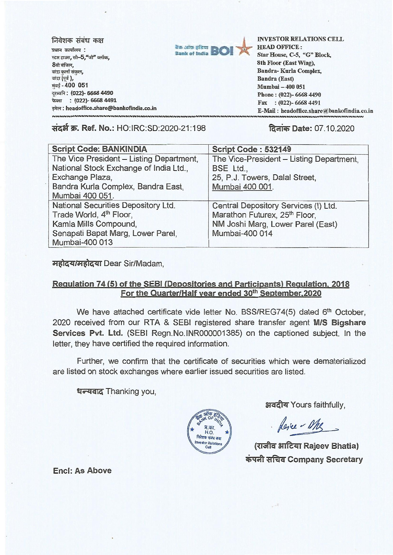| निवेशक संबंध कक्ष<br>प्रधान कार्यालय :<br>स्टार हाउस, सी-5,"जी" ब्लॉक,<br>8वी मंजिल,<br>बांद्रा कुर्ला संकुल,<br>बांद्रा (पूर्व ),<br>मुंबई - 400 051<br>दूरध्वनि: (022)- 6668 4490 | <b>Rank of India BOI</b> | <b>INVESTOR RELATIONS CELL</b><br><b>HEAD OFFICE:</b><br>Star House, C-5, "G" Block,<br>8th Floor (East Wing).<br>Bandra-Kurla Complex,<br>Bandra (East)<br>Mumbai - 400 051<br>Phone: (022)-6668 4490 |
|-------------------------------------------------------------------------------------------------------------------------------------------------------------------------------------|--------------------------|--------------------------------------------------------------------------------------------------------------------------------------------------------------------------------------------------------|
| फेक्स: (022)- 6668 4491                                                                                                                                                             |                          | Fax: $(022)$ -6668 4491                                                                                                                                                                                |
| इमेल: headoffice.share@bankofindia.co.in                                                                                                                                            |                          | E-Mail: headoffice.share@bankofindia.co.in                                                                                                                                                             |
|                                                                                                                                                                                     |                          |                                                                                                                                                                                                        |

**\*WA W. Ref. No.:** HO: IRC:SD:2020-21:198 **fawner, Date:** 07.10.2020

| <b>Script Code: BANKINDIA</b>            | Script Code: 532149                       |
|------------------------------------------|-------------------------------------------|
| The Vice President - Listing Department, | The Vice-President - Listing Department,  |
| National Stock Exchange of India Ltd.,   | BSE Ltd.,                                 |
| Exchange Plaza,                          | 25, P.J. Towers, Dalal Street,            |
| Bandra Kurla Complex, Bandra East,       | Mumbai 400 001.                           |
| Mumbai 400 051.                          |                                           |
| National Securities Depository Ltd.      | Central Depository Services (I) Ltd.      |
| Trade World, 4 <sup>th</sup> Floor,      | Marathon Futurex, 25 <sup>th</sup> Floor, |
| Kamla Mills Compound,                    | NM Joshi Marg, Lower Parel (East)         |
| Senapati Bapat Marg, Lower Parel,        | Mumbai-400 014                            |
| Mumbai-400 013                           |                                           |

महोदय/महोदया Dear Sir/Madam,

## **Regulation 74 (5) of the SEBI (Depositories and Participants) Regulation, 2018**  For the Quarter/Half year ended 30<sup>th</sup> September, 2020

We have attached certificate vide letter No. BSS/REG74(5) dated 6<sup>th</sup> October, 2020 received from our RTA & SEBI registered share transfer agent **M/S Bigshare Services Pvt. Ltd.** (SEBI Regn.No.INR000001385) on the captioned subject. In the letter, they have certified the required information.

Further, we confirm that the certificate of securities which were dematerialized are listed on stock exchanges where earlier issued securities are listed.

**tra-trar4** Thanking you,



अवदीय Yours faithfully,

· Rever - Mrs

**SST Rajeev Bhatia)**   $\frac{1}{4}$  अचिव Company Secretary

**Encl: As Above**